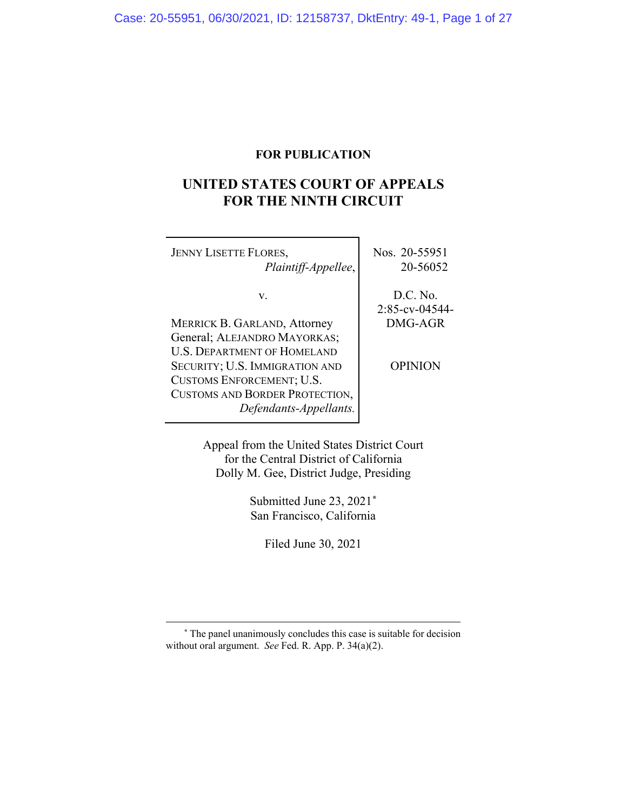## **FOR PUBLICATION**

# **UNITED STATES COURT OF APPEALS FOR THE NINTH CIRCUIT**

| <b>JENNY LISETTE FLORES,</b><br>Plaintiff-Appellee,                                                                                                                                                                                        | Nos. 20-55951<br>20-56052                               |
|--------------------------------------------------------------------------------------------------------------------------------------------------------------------------------------------------------------------------------------------|---------------------------------------------------------|
| V.<br><b>MERRICK B. GARLAND, Attorney</b><br>General; ALEJANDRO MAYORKAS;<br><b>U.S. DEPARTMENT OF HOMELAND</b><br>SECURITY; U.S. IMMIGRATION AND<br>CUSTOMS ENFORCEMENT; U.S.<br>CUSTOMS AND BORDER PROTECTION,<br>Defendants-Appellants. | D.C. No.<br>2:85-cv-04544-<br>DMG-AGR<br><b>OPINION</b> |
|                                                                                                                                                                                                                                            |                                                         |

Appeal from the United States District Court for the Central District of California Dolly M. Gee, District Judge, Presiding

> Submitted June 23, 2021**[\\*](#page-0-0)** San Francisco, California

> > Filed June 30, 2021

<span id="page-0-0"></span>**\*** The panel unanimously concludes this case is suitable for decision without oral argument. *See* Fed. R. App. P. 34(a)(2).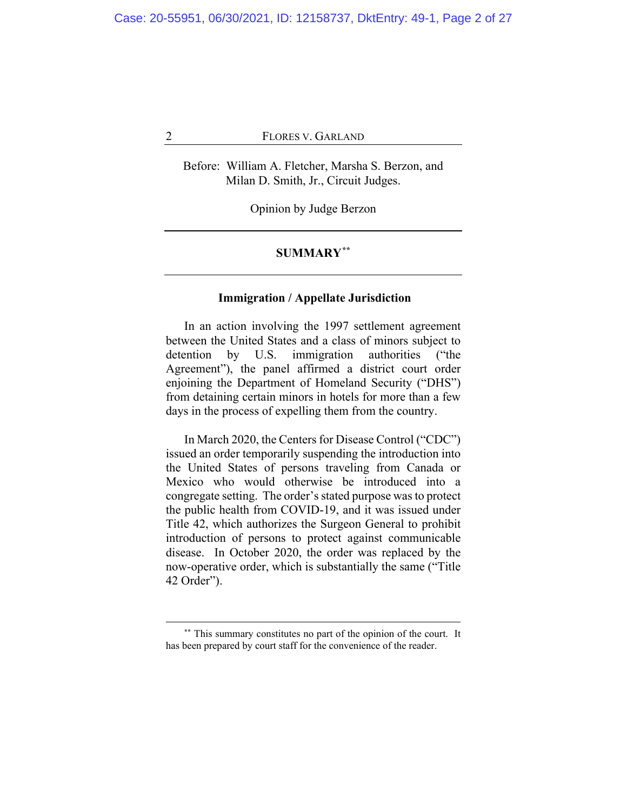Before: William A. Fletcher, Marsha S. Berzon, and Milan D. Smith, Jr., Circuit Judges.

Opinion by Judge Berzon

## **SUMMARY[\\*\\*](#page-1-0)**

## **Immigration / Appellate Jurisdiction**

In an action involving the 1997 settlement agreement between the United States and a class of minors subject to detention by U.S. immigration authorities ("the Agreement"), the panel affirmed a district court order enjoining the Department of Homeland Security ("DHS") from detaining certain minors in hotels for more than a few days in the process of expelling them from the country.

In March 2020, the Centers for Disease Control ("CDC") issued an order temporarily suspending the introduction into the United States of persons traveling from Canada or Mexico who would otherwise be introduced into a congregate setting. The order's stated purpose was to protect the public health from COVID-19, and it was issued under Title 42, which authorizes the Surgeon General to prohibit introduction of persons to protect against communicable disease. In October 2020, the order was replaced by the now-operative order, which is substantially the same ("Title 42 Order").

<span id="page-1-0"></span>**<sup>\*\*</sup>** This summary constitutes no part of the opinion of the court. It has been prepared by court staff for the convenience of the reader.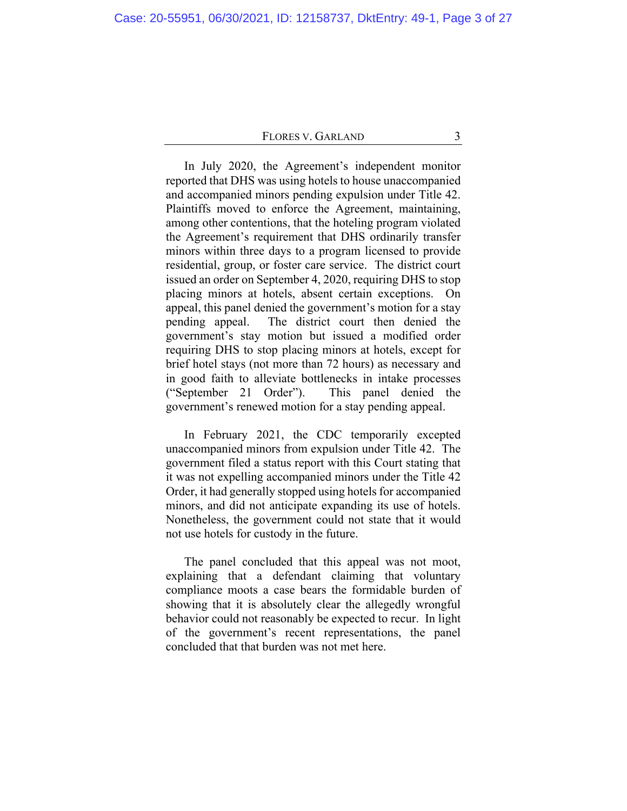In July 2020, the Agreement's independent monitor reported that DHS was using hotels to house unaccompanied and accompanied minors pending expulsion under Title 42. Plaintiffs moved to enforce the Agreement, maintaining, among other contentions, that the hoteling program violated the Agreement's requirement that DHS ordinarily transfer minors within three days to a program licensed to provide residential, group, or foster care service. The district court issued an order on September 4, 2020, requiring DHS to stop placing minors at hotels, absent certain exceptions. On appeal, this panel denied the government's motion for a stay pending appeal. The district court then denied the government's stay motion but issued a modified order requiring DHS to stop placing minors at hotels, except for brief hotel stays (not more than 72 hours) as necessary and in good faith to alleviate bottlenecks in intake processes ("September 21 Order"). This panel denied the government's renewed motion for a stay pending appeal.

In February 2021, the CDC temporarily excepted unaccompanied minors from expulsion under Title 42. The government filed a status report with this Court stating that it was not expelling accompanied minors under the Title 42 Order, it had generally stopped using hotels for accompanied minors, and did not anticipate expanding its use of hotels. Nonetheless, the government could not state that it would not use hotels for custody in the future.

The panel concluded that this appeal was not moot, explaining that a defendant claiming that voluntary compliance moots a case bears the formidable burden of showing that it is absolutely clear the allegedly wrongful behavior could not reasonably be expected to recur. In light of the government's recent representations, the panel concluded that that burden was not met here.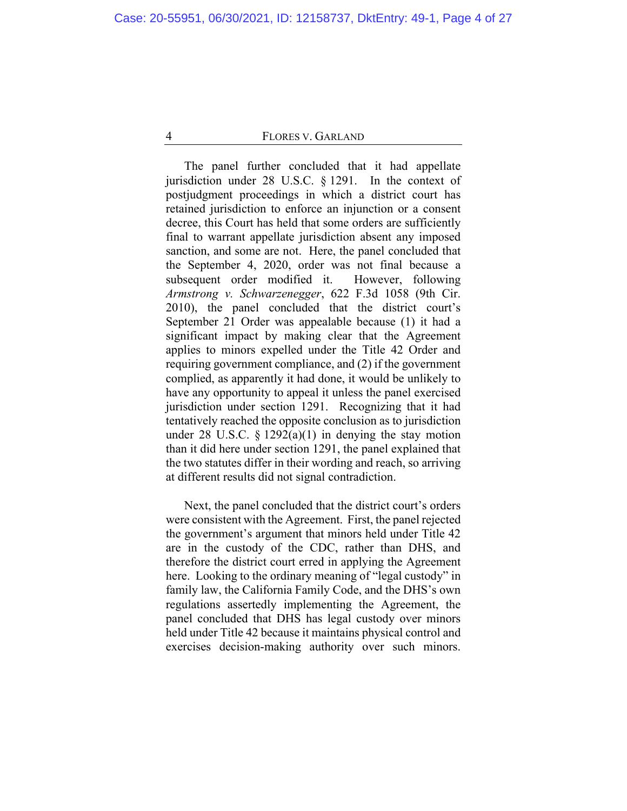The panel further concluded that it had appellate jurisdiction under 28 U.S.C. § 1291. In the context of postjudgment proceedings in which a district court has retained jurisdiction to enforce an injunction or a consent decree, this Court has held that some orders are sufficiently final to warrant appellate jurisdiction absent any imposed sanction, and some are not. Here, the panel concluded that the September 4, 2020, order was not final because a subsequent order modified it. However, following *Armstrong v. Schwarzenegger*, 622 F.3d 1058 (9th Cir. 2010), the panel concluded that the district court's September 21 Order was appealable because (1) it had a significant impact by making clear that the Agreement applies to minors expelled under the Title 42 Order and requiring government compliance, and (2) if the government complied, as apparently it had done, it would be unlikely to have any opportunity to appeal it unless the panel exercised jurisdiction under section 1291. Recognizing that it had tentatively reached the opposite conclusion as to jurisdiction under 28 U.S.C.  $\S$  1292(a)(1) in denying the stay motion than it did here under section 1291, the panel explained that the two statutes differ in their wording and reach, so arriving at different results did not signal contradiction.

Next, the panel concluded that the district court's orders were consistent with the Agreement. First, the panel rejected the government's argument that minors held under Title 42 are in the custody of the CDC, rather than DHS, and therefore the district court erred in applying the Agreement here. Looking to the ordinary meaning of "legal custody" in family law, the California Family Code, and the DHS's own regulations assertedly implementing the Agreement, the panel concluded that DHS has legal custody over minors held under Title 42 because it maintains physical control and exercises decision-making authority over such minors.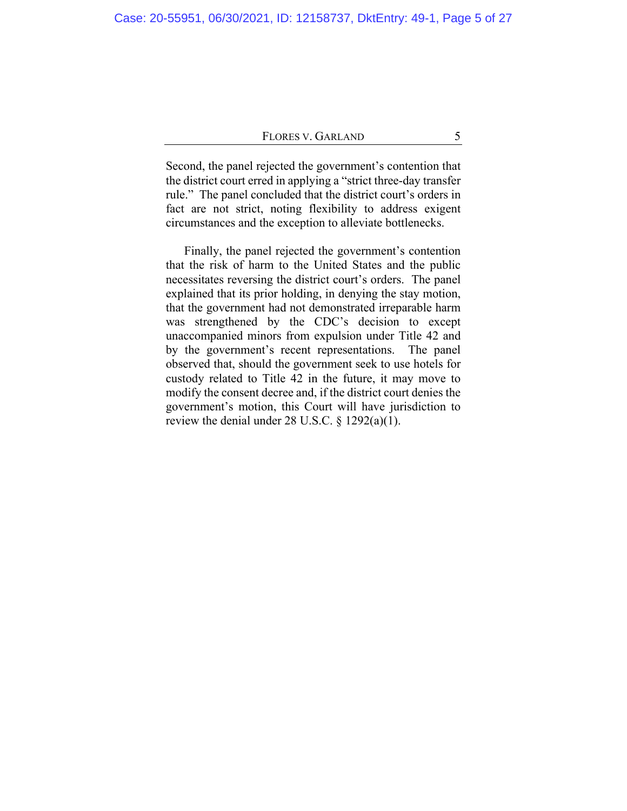Second, the panel rejected the government's contention that the district court erred in applying a "strict three-day transfer rule." The panel concluded that the district court's orders in fact are not strict, noting flexibility to address exigent circumstances and the exception to alleviate bottlenecks.

Finally, the panel rejected the government's contention that the risk of harm to the United States and the public necessitates reversing the district court's orders. The panel explained that its prior holding, in denying the stay motion, that the government had not demonstrated irreparable harm was strengthened by the CDC's decision to except unaccompanied minors from expulsion under Title 42 and by the government's recent representations. The panel observed that, should the government seek to use hotels for custody related to Title 42 in the future, it may move to modify the consent decree and, if the district court denies the government's motion, this Court will have jurisdiction to review the denial under 28 U.S.C.  $\S$  1292(a)(1).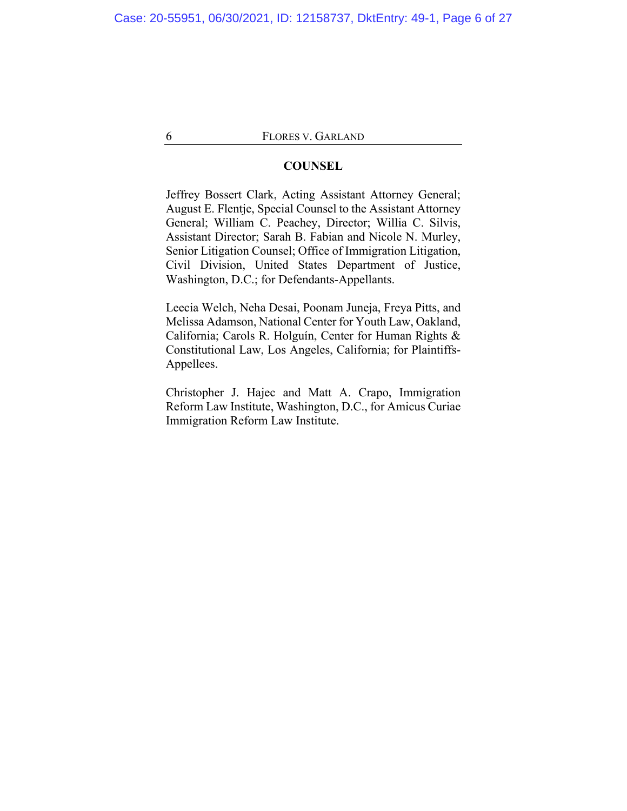## **COUNSEL**

Jeffrey Bossert Clark, Acting Assistant Attorney General; August E. Flentje, Special Counsel to the Assistant Attorney General; William C. Peachey, Director; Willia C. Silvis, Assistant Director; Sarah B. Fabian and Nicole N. Murley, Senior Litigation Counsel; Office of Immigration Litigation, Civil Division, United States Department of Justice, Washington, D.C.; for Defendants-Appellants.

Leecia Welch, Neha Desai, Poonam Juneja, Freya Pitts, and Melissa Adamson, National Center for Youth Law, Oakland, California; Carols R. Holguín, Center for Human Rights & Constitutional Law, Los Angeles, California; for Plaintiffs-Appellees.

Christopher J. Hajec and Matt A. Crapo, Immigration Reform Law Institute, Washington, D.C., for Amicus Curiae Immigration Reform Law Institute.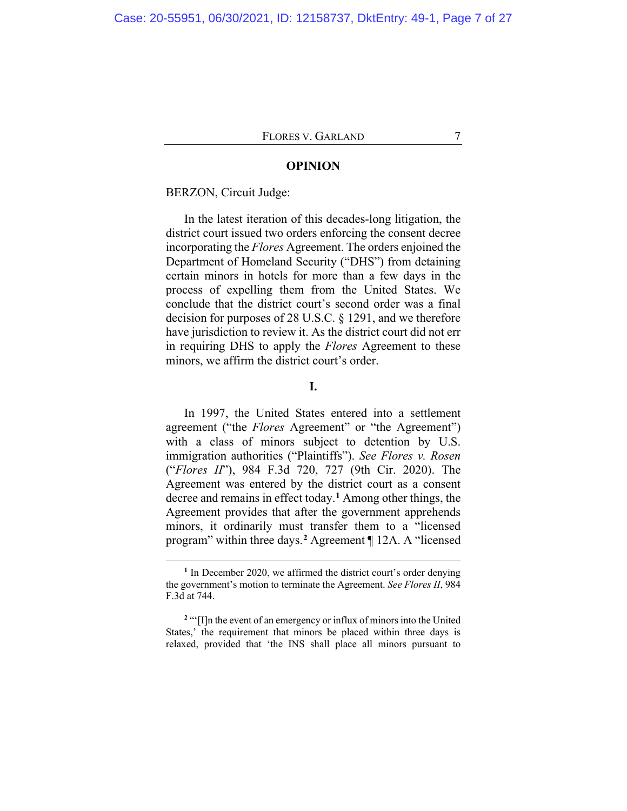#### **OPINION**

#### BERZON, Circuit Judge:

In the latest iteration of this decades-long litigation, the district court issued two orders enforcing the consent decree incorporating the *Flores* Agreement. The orders enjoined the Department of Homeland Security ("DHS") from detaining certain minors in hotels for more than a few days in the process of expelling them from the United States. We conclude that the district court's second order was a final decision for purposes of 28 U.S.C. § 1291, and we therefore have jurisdiction to review it. As the district court did not err in requiring DHS to apply the *Flores* Agreement to these minors, we affirm the district court's order.

#### **I.**

In 1997, the United States entered into a settlement agreement ("the *Flores* Agreement" or "the Agreement") with a class of minors subject to detention by U.S. immigration authorities ("Plaintiffs"). *See Flores v. Rosen* ("*Flores II*"), 984 F.3d 720, 727 (9th Cir. 2020). The Agreement was entered by the district court as a consent decree and remains in effect today.**[1](#page-6-0)** Among other things, the Agreement provides that after the government apprehends minors, it ordinarily must transfer them to a "licensed program" within three days.**[2](#page-6-1)** Agreement ¶ 12A. A "licensed

**<sup>1</sup>** In December 2020, we affirmed the district court's order denying the government's motion to terminate the Agreement. *See Flores II*, 984 F.3d at 744.

<span id="page-6-1"></span><span id="page-6-0"></span>**<sup>2</sup>** "'[I]n the event of an emergency or influx of minors into the United States,' the requirement that minors be placed within three days is relaxed, provided that 'the INS shall place all minors pursuant to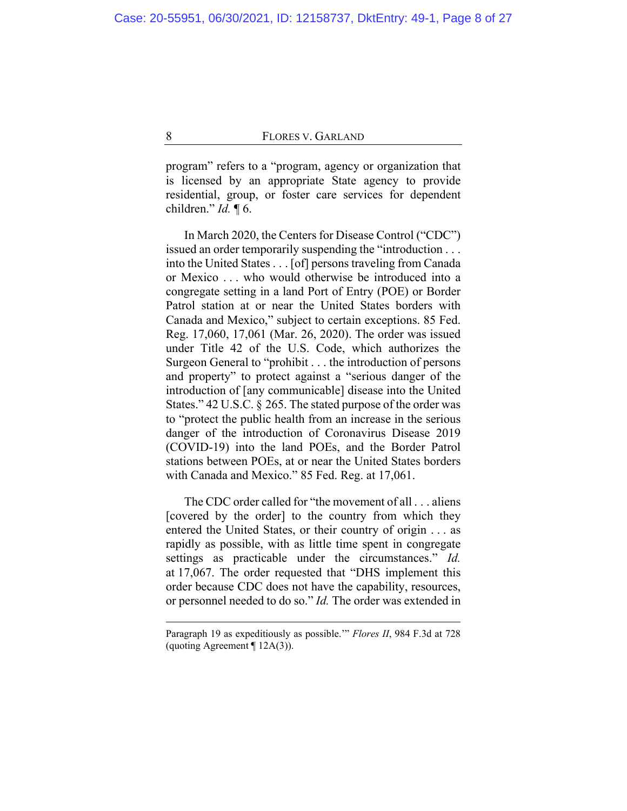program" refers to a "program, agency or organization that is licensed by an appropriate State agency to provide residential, group, or foster care services for dependent children." *Id.* ¶ 6.

In March 2020, the Centers for Disease Control ("CDC") issued an order temporarily suspending the "introduction . . . into the United States . . . [of] persons traveling from Canada or Mexico . . . who would otherwise be introduced into a congregate setting in a land Port of Entry (POE) or Border Patrol station at or near the United States borders with Canada and Mexico," subject to certain exceptions. 85 Fed. Reg. 17,060, 17,061 (Mar. 26, 2020). The order was issued under Title 42 of the U.S. Code, which authorizes the Surgeon General to "prohibit . . . the introduction of persons and property" to protect against a "serious danger of the introduction of [any communicable] disease into the United States." 42 U.S.C. § 265. The stated purpose of the order was to "protect the public health from an increase in the serious danger of the introduction of Coronavirus Disease 2019 (COVID-19) into the land POEs, and the Border Patrol stations between POEs, at or near the United States borders with Canada and Mexico." 85 Fed. Reg. at 17,061.

The CDC order called for "the movement of all . . . aliens [covered by the order] to the country from which they entered the United States, or their country of origin . . . as rapidly as possible, with as little time spent in congregate settings as practicable under the circumstances." *Id.* at 17,067. The order requested that "DHS implement this order because CDC does not have the capability, resources, or personnel needed to do so." *Id.* The order was extended in

Paragraph 19 as expeditiously as possible.'" *Flores II*, 984 F.3d at 728 (quoting Agreement  $\P$  12A(3)).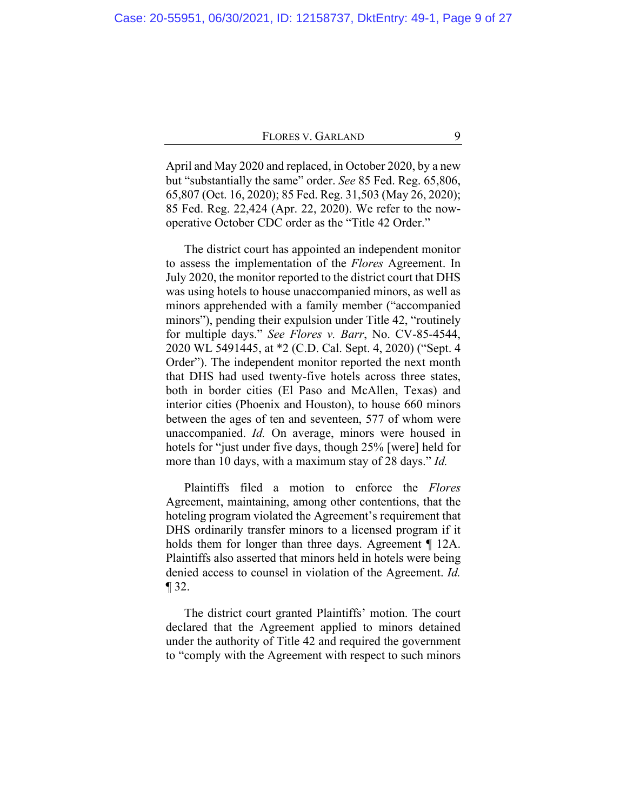April and May 2020 and replaced, in October 2020, by a new but "substantially the same" order. *See* 85 Fed. Reg. 65,806, 65,807 (Oct. 16, 2020); 85 Fed. Reg. 31,503 (May 26, 2020); 85 Fed. Reg. 22,424 (Apr. 22, 2020). We refer to the nowoperative October CDC order as the "Title 42 Order."

The district court has appointed an independent monitor to assess the implementation of the *Flores* Agreement. In July 2020, the monitor reported to the district court that DHS was using hotels to house unaccompanied minors, as well as minors apprehended with a family member ("accompanied minors"), pending their expulsion under Title 42, "routinely for multiple days." *See Flores v. Barr*, No. CV-85-4544, 2020 WL 5491445, at \*2 (C.D. Cal. Sept. 4, 2020) ("Sept. 4 Order"). The independent monitor reported the next month that DHS had used twenty-five hotels across three states, both in border cities (El Paso and McAllen, Texas) and interior cities (Phoenix and Houston), to house 660 minors between the ages of ten and seventeen, 577 of whom were unaccompanied. *Id.* On average, minors were housed in hotels for "just under five days, though 25% [were] held for more than 10 days, with a maximum stay of 28 days." *Id.*

Plaintiffs filed a motion to enforce the *Flores* Agreement, maintaining, among other contentions, that the hoteling program violated the Agreement's requirement that DHS ordinarily transfer minors to a licensed program if it holds them for longer than three days. Agreement ¶ 12A. Plaintiffs also asserted that minors held in hotels were being denied access to counsel in violation of the Agreement. *Id.*  $\P$  32.

The district court granted Plaintiffs' motion. The court declared that the Agreement applied to minors detained under the authority of Title 42 and required the government to "comply with the Agreement with respect to such minors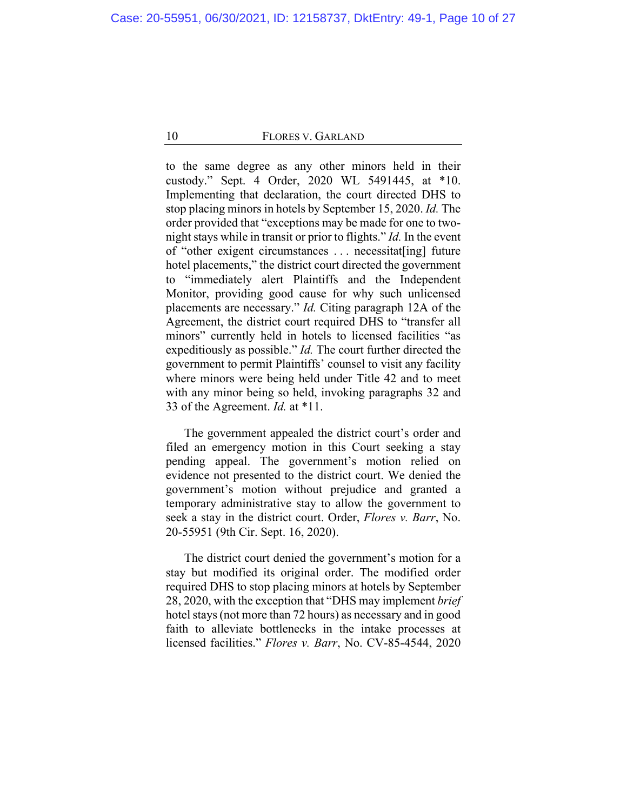to the same degree as any other minors held in their custody." Sept. 4 Order, 2020 WL 5491445, at \*10. Implementing that declaration, the court directed DHS to stop placing minors in hotels by September 15, 2020. *Id.* The order provided that "exceptions may be made for one to twonight stays while in transit or prior to flights." *Id.* In the event of "other exigent circumstances . . . necessitat[ing] future hotel placements," the district court directed the government to "immediately alert Plaintiffs and the Independent Monitor, providing good cause for why such unlicensed placements are necessary." *Id.* Citing paragraph 12A of the Agreement, the district court required DHS to "transfer all minors" currently held in hotels to licensed facilities "as expeditiously as possible." *Id.* The court further directed the government to permit Plaintiffs' counsel to visit any facility where minors were being held under Title 42 and to meet with any minor being so held, invoking paragraphs 32 and 33 of the Agreement. *Id.* at \*11.

The government appealed the district court's order and filed an emergency motion in this Court seeking a stay pending appeal. The government's motion relied on evidence not presented to the district court. We denied the government's motion without prejudice and granted a temporary administrative stay to allow the government to seek a stay in the district court. Order, *Flores v. Barr*, No. 20-55951 (9th Cir. Sept. 16, 2020).

The district court denied the government's motion for a stay but modified its original order. The modified order required DHS to stop placing minors at hotels by September 28, 2020, with the exception that "DHS may implement *brief* hotel stays (not more than 72 hours) as necessary and in good faith to alleviate bottlenecks in the intake processes at licensed facilities." *Flores v. Barr*, No. CV-85-4544, 2020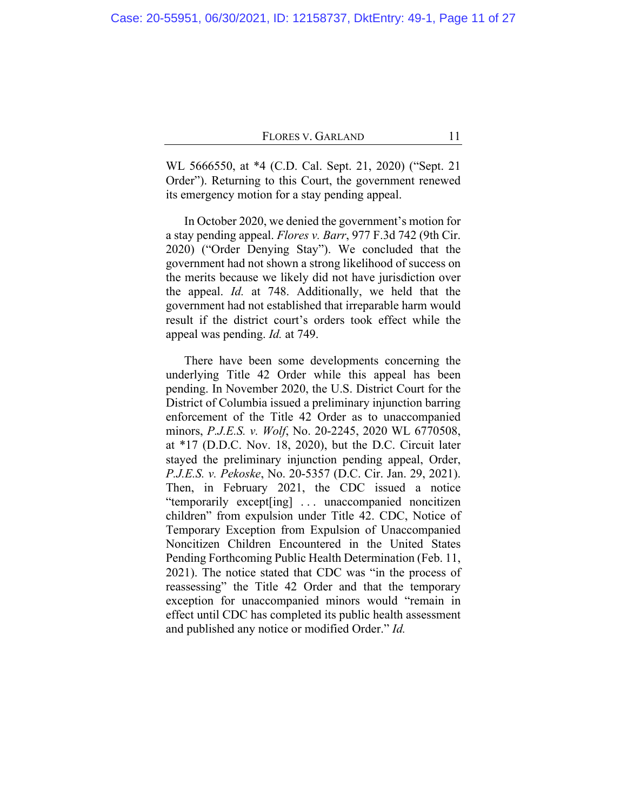WL 5666550, at \*4 (C.D. Cal. Sept. 21, 2020) ("Sept. 21 Order"). Returning to this Court, the government renewed its emergency motion for a stay pending appeal.

In October 2020, we denied the government's motion for a stay pending appeal. *Flores v. Barr*, 977 F.3d 742 (9th Cir. 2020) ("Order Denying Stay"). We concluded that the government had not shown a strong likelihood of success on the merits because we likely did not have jurisdiction over the appeal. *Id.* at 748. Additionally, we held that the government had not established that irreparable harm would result if the district court's orders took effect while the appeal was pending. *Id.* at 749.

There have been some developments concerning the underlying Title 42 Order while this appeal has been pending. In November 2020, the U.S. District Court for the District of Columbia issued a preliminary injunction barring enforcement of the Title 42 Order as to unaccompanied minors, *P.J.E.S. v. Wolf*, No. 20-2245, 2020 WL 6770508, at \*17 (D.D.C. Nov. 18, 2020), but the D.C. Circuit later stayed the preliminary injunction pending appeal, Order, *P.J.E.S. v. Pekoske*, No. 20-5357 (D.C. Cir. Jan. 29, 2021). Then, in February 2021, the CDC issued a notice "temporarily except[ing] . . . unaccompanied noncitizen children" from expulsion under Title 42. CDC, Notice of Temporary Exception from Expulsion of Unaccompanied Noncitizen Children Encountered in the United States Pending Forthcoming Public Health Determination (Feb. 11, 2021). The notice stated that CDC was "in the process of reassessing" the Title 42 Order and that the temporary exception for unaccompanied minors would "remain in effect until CDC has completed its public health assessment and published any notice or modified Order." *Id.*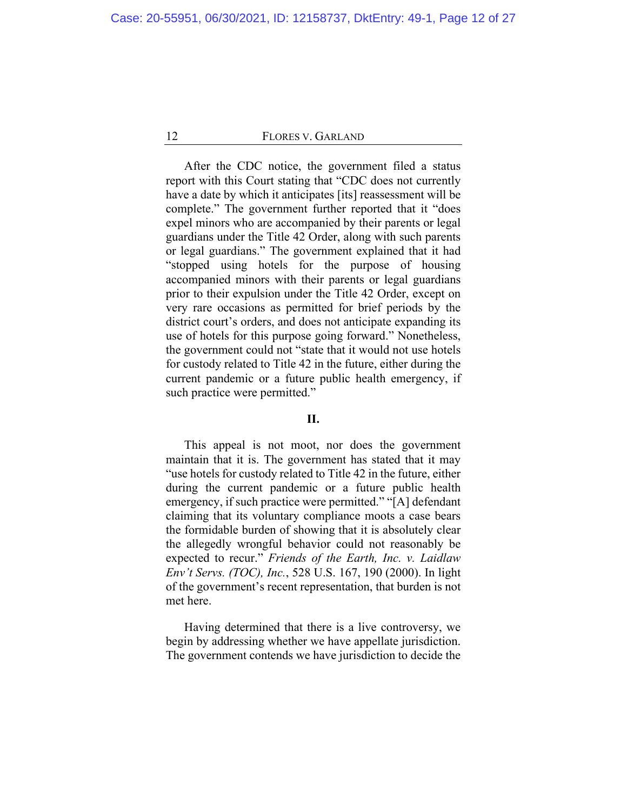<span id="page-11-0"></span>After the CDC notice, the government filed a status report with this Court stating that "CDC does not currently have a date by which it anticipates [its] reassessment will be complete." The government further reported that it "does expel minors who are accompanied by their parents or legal guardians under the Title 42 Order, along with such parents or legal guardians." The government explained that it had "stopped using hotels for the purpose of housing accompanied minors with their parents or legal guardians prior to their expulsion under the Title 42 Order, except on very rare occasions as permitted for brief periods by the district court's orders, and does not anticipate expanding its use of hotels for this purpose going forward." Nonetheless, the government could not "state that it would not use hotels for custody related to Title 42 in the future, either during the current pandemic or a future public health emergency, if such practice were permitted."

## **II.**

This appeal is not moot, nor does the government maintain that it is. The government has stated that it may "use hotels for custody related to Title 42 in the future, either during the current pandemic or a future public health emergency, if such practice were permitted." "[A] defendant claiming that its voluntary compliance moots a case bears the formidable burden of showing that it is absolutely clear the allegedly wrongful behavior could not reasonably be expected to recur." *Friends of the Earth, Inc. v. Laidlaw Env't Servs. (TOC), Inc.*, 528 U.S. 167, 190 (2000). In light of the government's recent representation, that burden is not met here.

Having determined that there is a live controversy, we begin by addressing whether we have appellate jurisdiction. The government contends we have jurisdiction to decide the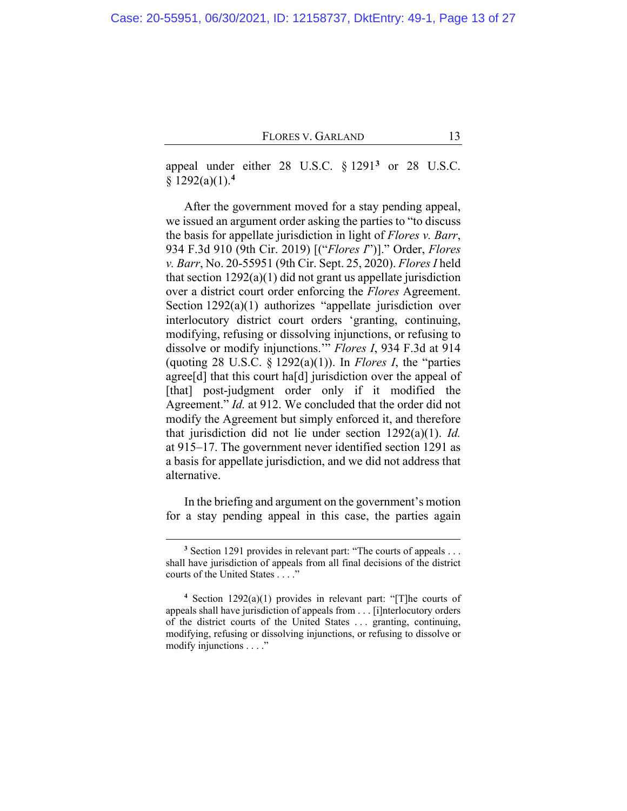appeal under either 28 U.S.C. § 1291**[3](#page-12-0)** or 28 U.S.C. § 1292(a)(1).**[4](#page-12-1)**

After the government moved for a stay pending appeal, we issued an argument order asking the parties to "to discuss the basis for appellate jurisdiction in light of *Flores v. Barr*, 934 F.3d 910 (9th Cir. 2019) [("*Flores I*")]." Order, *Flores v. Barr*, No. 20-55951 (9th Cir. Sept. 25, 2020). *Flores I* held that section  $1292(a)(1)$  did not grant us appellate jurisdiction over a district court order enforcing the *Flores* Agreement. Section 1292(a)(1) authorizes "appellate jurisdiction over interlocutory district court orders 'granting, continuing, modifying, refusing or dissolving injunctions, or refusing to dissolve or modify injunctions.'" *Flores I*, 934 F.3d at 914 (quoting 28 U.S.C. § 1292(a)(1)). In *Flores I*, the "parties agree[d] that this court ha[d] jurisdiction over the appeal of [that] post-judgment order only if it modified the Agreement." *Id.* at 912. We concluded that the order did not modify the Agreement but simply enforced it, and therefore that jurisdiction did not lie under section 1292(a)(1). *Id.* at 915–17. The government never identified section 1291 as a basis for appellate jurisdiction, and we did not address that alternative.

In the briefing and argument on the government's motion for a stay pending appeal in this case, the parties again

**<sup>3</sup>** Section 1291 provides in relevant part: "The courts of appeals . . . shall have jurisdiction of appeals from all final decisions of the district courts of the United States . . . ."

<span id="page-12-1"></span><span id="page-12-0"></span>**<sup>4</sup>** Section 1292(a)(1) provides in relevant part: "[T]he courts of appeals shall have jurisdiction of appeals from . . . [i]nterlocutory orders of the district courts of the United States . . . granting, continuing, modifying, refusing or dissolving injunctions, or refusing to dissolve or modify injunctions . . . ."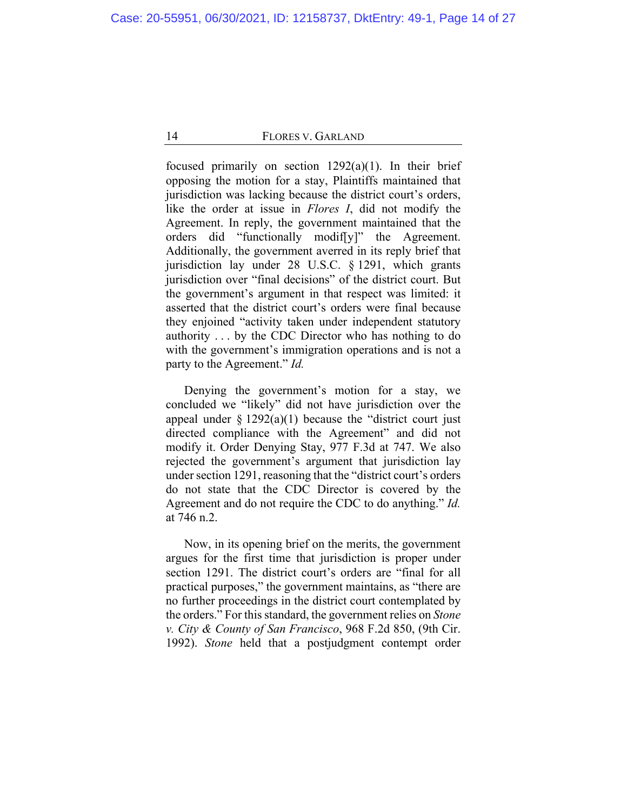focused primarily on section  $1292(a)(1)$ . In their brief opposing the motion for a stay, Plaintiffs maintained that jurisdiction was lacking because the district court's orders, like the order at issue in *Flores I*, did not modify the Agreement. In reply, the government maintained that the orders did "functionally modif[y]" the Agreement. Additionally, the government averred in its reply brief that jurisdiction lay under 28 U.S.C. § 1291, which grants jurisdiction over "final decisions" of the district court. But the government's argument in that respect was limited: it asserted that the district court's orders were final because they enjoined "activity taken under independent statutory authority . . . by the CDC Director who has nothing to do with the government's immigration operations and is not a party to the Agreement." *Id.*

Denying the government's motion for a stay, we concluded we "likely" did not have jurisdiction over the appeal under  $\S 1292(a)(1)$  because the "district court just directed compliance with the Agreement" and did not modify it. Order Denying Stay, 977 F.3d at 747. We also rejected the government's argument that jurisdiction lay under section 1291, reasoning that the "district court's orders do not state that the CDC Director is covered by the Agreement and do not require the CDC to do anything." *Id.* at 746 n.2.

Now, in its opening brief on the merits, the government argues for the first time that jurisdiction is proper under section 1291. The district court's orders are "final for all practical purposes," the government maintains, as "there are no further proceedings in the district court contemplated by the orders." For this standard, the government relies on *Stone v. City & County of San Francisco*, 968 F.2d 850, (9th Cir. 1992). *Stone* held that a postjudgment contempt order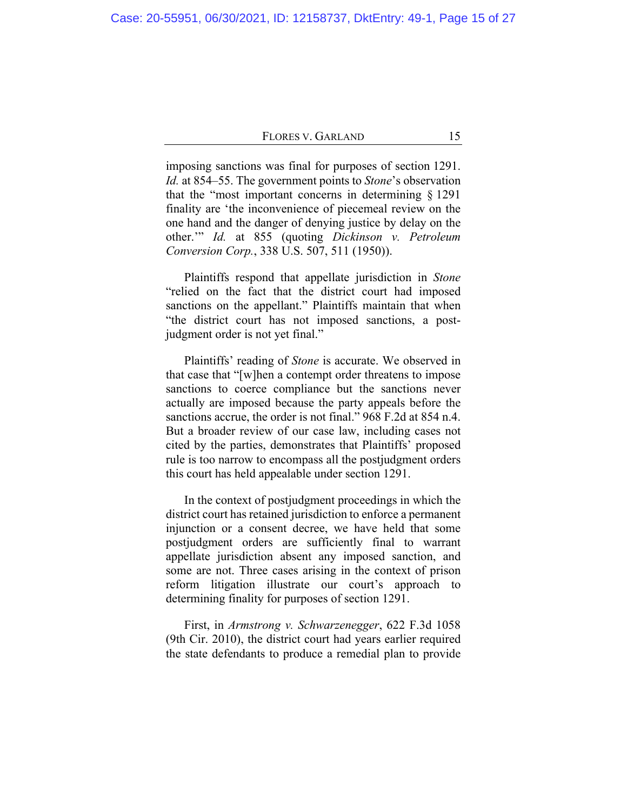imposing sanctions was final for purposes of section 1291. *Id.* at 854–55. The government points to *Stone*'s observation that the "most important concerns in determining § 1291 finality are 'the inconvenience of piecemeal review on the one hand and the danger of denying justice by delay on the other.'" *Id.* at 855 (quoting *Dickinson v. Petroleum Conversion Corp.*, 338 U.S. 507, 511 (1950)).

Plaintiffs respond that appellate jurisdiction in *Stone* "relied on the fact that the district court had imposed sanctions on the appellant." Plaintiffs maintain that when "the district court has not imposed sanctions, a postjudgment order is not yet final."

Plaintiffs' reading of *Stone* is accurate. We observed in that case that "[w]hen a contempt order threatens to impose sanctions to coerce compliance but the sanctions never actually are imposed because the party appeals before the sanctions accrue, the order is not final." 968 F.2d at 854 n.4. But a broader review of our case law, including cases not cited by the parties, demonstrates that Plaintiffs' proposed rule is too narrow to encompass all the postjudgment orders this court has held appealable under section 1291.

In the context of postjudgment proceedings in which the district court has retained jurisdiction to enforce a permanent injunction or a consent decree, we have held that some postjudgment orders are sufficiently final to warrant appellate jurisdiction absent any imposed sanction, and some are not. Three cases arising in the context of prison reform litigation illustrate our court's approach to determining finality for purposes of section 1291.

First, in *Armstrong v. Schwarzenegger*, 622 F.3d 1058 (9th Cir. 2010), the district court had years earlier required the state defendants to produce a remedial plan to provide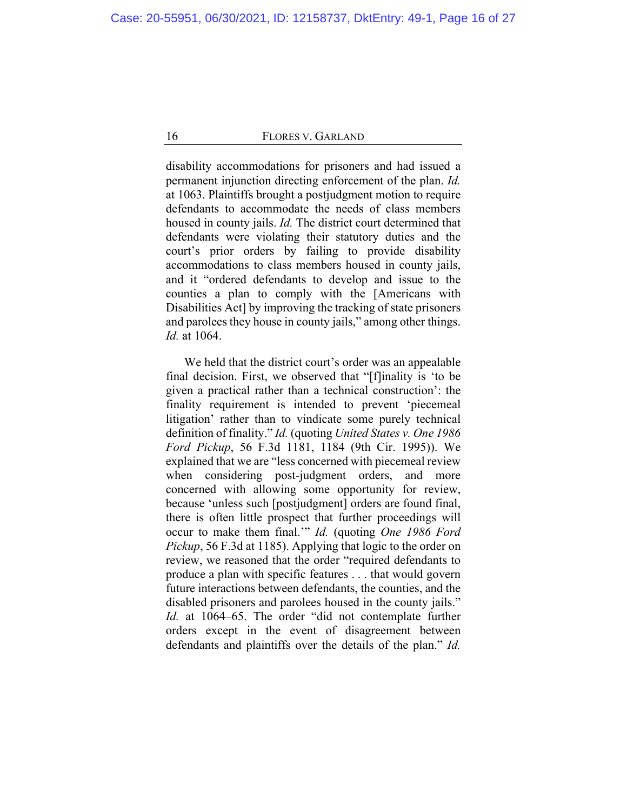disability accommodations for prisoners and had issued a permanent injunction directing enforcement of the plan. *Id.* at 1063. Plaintiffs brought a postjudgment motion to require defendants to accommodate the needs of class members housed in county jails. *Id.* The district court determined that defendants were violating their statutory duties and the court's prior orders by failing to provide disability accommodations to class members housed in county jails, and it "ordered defendants to develop and issue to the counties a plan to comply with the [Americans with Disabilities Act] by improving the tracking of state prisoners and parolees they house in county jails," among other things. *Id.* at 1064.

We held that the district court's order was an appealable final decision. First, we observed that "[f]inality is 'to be given a practical rather than a technical construction': the finality requirement is intended to prevent 'piecemeal litigation' rather than to vindicate some purely technical definition of finality." *Id.* (quoting *United States v. One 1986 Ford Pickup*, 56 F.3d 1181, 1184 (9th Cir. 1995)). We explained that we are "less concerned with piecemeal review when considering post-judgment orders, and more concerned with allowing some opportunity for review, because 'unless such [postjudgment] orders are found final, there is often little prospect that further proceedings will occur to make them final.'" *Id.* (quoting *One 1986 Ford Pickup*, 56 F.3d at 1185). Applying that logic to the order on review, we reasoned that the order "required defendants to produce a plan with specific features . . . that would govern future interactions between defendants, the counties, and the disabled prisoners and parolees housed in the county jails." Id. at 1064–65. The order "did not contemplate further orders except in the event of disagreement between defendants and plaintiffs over the details of the plan." *Id.*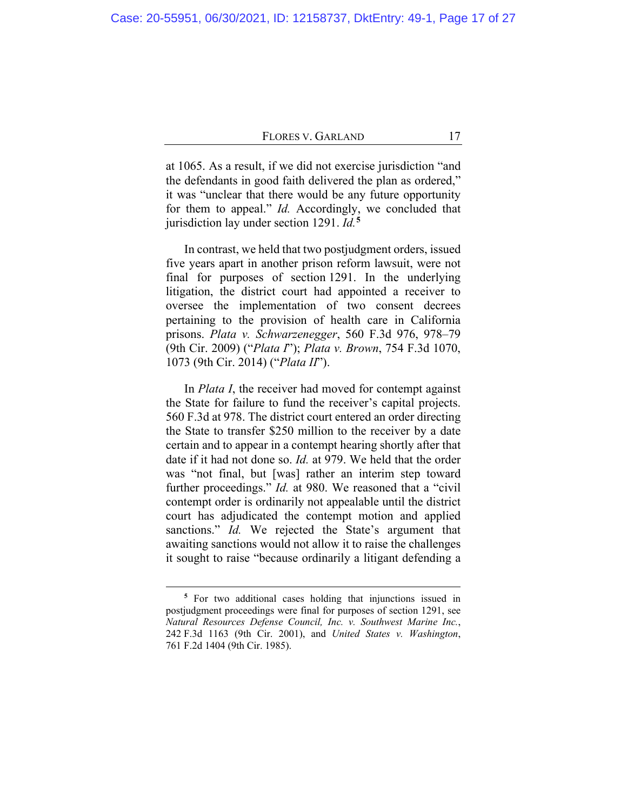at 1065. As a result, if we did not exercise jurisdiction "and the defendants in good faith delivered the plan as ordered," it was "unclear that there would be any future opportunity for them to appeal." *Id.* Accordingly, we concluded that jurisdiction lay under section 1291. *Id.***[5](#page-16-0)**

In contrast, we held that two postjudgment orders, issued five years apart in another prison reform lawsuit, were not final for purposes of section 1291. In the underlying litigation, the district court had appointed a receiver to oversee the implementation of two consent decrees pertaining to the provision of health care in California prisons. *Plata v. Schwarzenegger*, 560 F.3d 976, 978–79 (9th Cir. 2009) ("*Plata I*"); *Plata v. Brown*, 754 F.3d 1070, 1073 (9th Cir. 2014) ("*Plata II*").

In *Plata I*, the receiver had moved for contempt against the State for failure to fund the receiver's capital projects. 560 F.3d at 978. The district court entered an order directing the State to transfer \$250 million to the receiver by a date certain and to appear in a contempt hearing shortly after that date if it had not done so. *Id.* at 979. We held that the order was "not final, but [was] rather an interim step toward further proceedings." *Id.* at 980. We reasoned that a "civil" contempt order is ordinarily not appealable until the district court has adjudicated the contempt motion and applied sanctions." *Id.* We rejected the State's argument that awaiting sanctions would not allow it to raise the challenges it sought to raise "because ordinarily a litigant defending a

<span id="page-16-0"></span>**<sup>5</sup>** For two additional cases holding that injunctions issued in postjudgment proceedings were final for purposes of section 1291, see *Natural Resources Defense Council, Inc. v. Southwest Marine Inc.*, 242 F.3d 1163 (9th Cir. 2001), and *United States v. Washington*, 761 F.2d 1404 (9th Cir. 1985).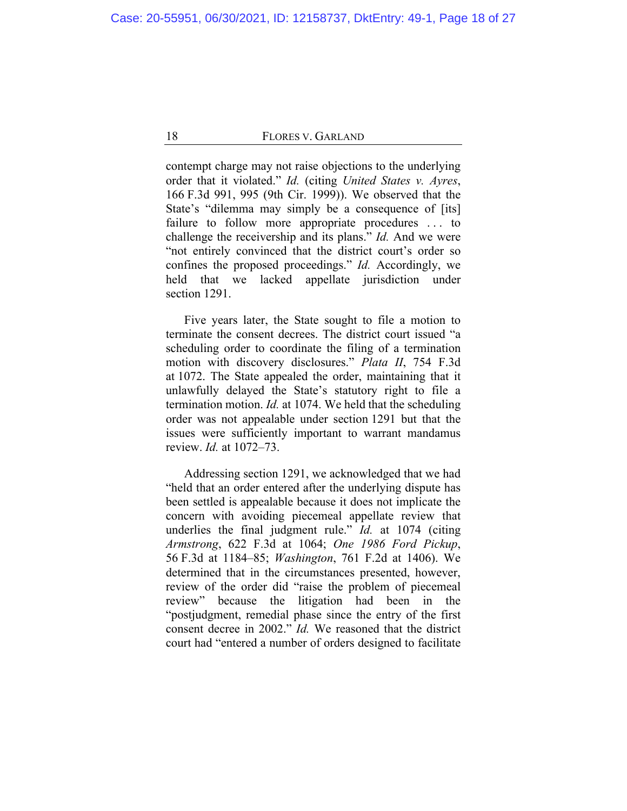contempt charge may not raise objections to the underlying order that it violated." *Id.* (citing *United States v. Ayres*, 166 F.3d 991, 995 (9th Cir. 1999)). We observed that the State's "dilemma may simply be a consequence of [its] failure to follow more appropriate procedures ... to challenge the receivership and its plans." *Id.* And we were "not entirely convinced that the district court's order so confines the proposed proceedings." *Id.* Accordingly, we held that we lacked appellate jurisdiction under section 1291.

Five years later, the State sought to file a motion to terminate the consent decrees. The district court issued "a scheduling order to coordinate the filing of a termination motion with discovery disclosures." *Plata II*, 754 F.3d at 1072. The State appealed the order, maintaining that it unlawfully delayed the State's statutory right to file a termination motion. *Id.* at 1074. We held that the scheduling order was not appealable under section 1291 but that the issues were sufficiently important to warrant mandamus review. *Id.* at 1072–73.

Addressing section 1291, we acknowledged that we had "held that an order entered after the underlying dispute has been settled is appealable because it does not implicate the concern with avoiding piecemeal appellate review that underlies the final judgment rule." *Id.* at 1074 (citing *Armstrong*, 622 F.3d at 1064; *One 1986 Ford Pickup*, 56 F.3d at 1184–85; *Washington*, 761 F.2d at 1406). We determined that in the circumstances presented, however, review of the order did "raise the problem of piecemeal review" because the litigation had been in the "postjudgment, remedial phase since the entry of the first consent decree in 2002." *Id.* We reasoned that the district court had "entered a number of orders designed to facilitate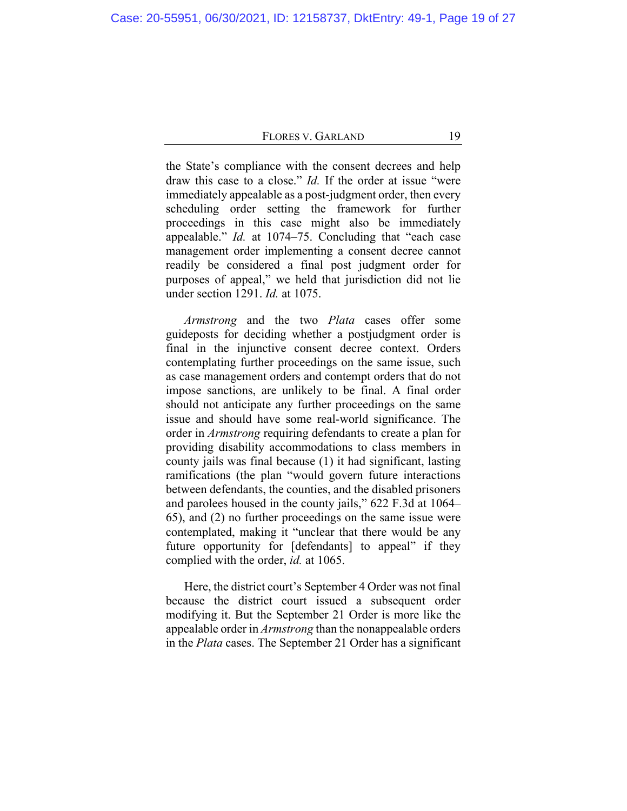the State's compliance with the consent decrees and help draw this case to a close." *Id.* If the order at issue "were immediately appealable as a post-judgment order, then every scheduling order setting the framework for further proceedings in this case might also be immediately appealable." *Id.* at 1074–75. Concluding that "each case management order implementing a consent decree cannot readily be considered a final post judgment order for purposes of appeal," we held that jurisdiction did not lie under section 1291. *Id.* at 1075.

*Armstrong* and the two *Plata* cases offer some guideposts for deciding whether a postjudgment order is final in the injunctive consent decree context. Orders contemplating further proceedings on the same issue, such as case management orders and contempt orders that do not impose sanctions, are unlikely to be final. A final order should not anticipate any further proceedings on the same issue and should have some real-world significance. The order in *Armstrong* requiring defendants to create a plan for providing disability accommodations to class members in county jails was final because (1) it had significant, lasting ramifications (the plan "would govern future interactions between defendants, the counties, and the disabled prisoners and parolees housed in the county jails," 622 F.3d at 1064– 65), and (2) no further proceedings on the same issue were contemplated, making it "unclear that there would be any future opportunity for [defendants] to appeal" if they complied with the order, *id.* at 1065.

Here, the district court's September 4 Order was not final because the district court issued a subsequent order modifying it. But the September 21 Order is more like the appealable order in *Armstrong* than the nonappealable orders in the *Plata* cases. The September 21 Order has a significant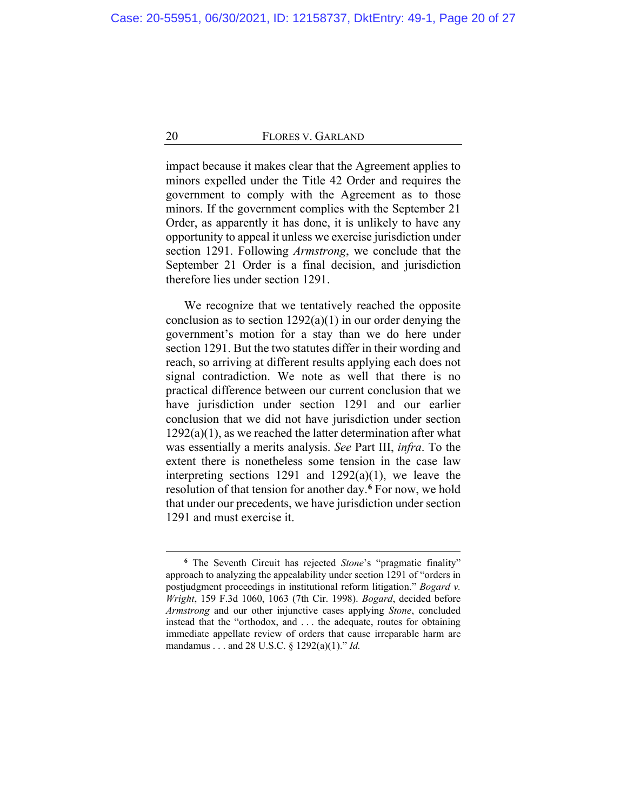impact because it makes clear that the Agreement applies to minors expelled under the Title 42 Order and requires the government to comply with the Agreement as to those minors. If the government complies with the September 21 Order, as apparently it has done, it is unlikely to have any opportunity to appeal it unless we exercise jurisdiction under section 1291. Following *Armstrong*, we conclude that the September 21 Order is a final decision, and jurisdiction therefore lies under section 1291.

We recognize that we tentatively reached the opposite conclusion as to section  $1292(a)(1)$  in our order denying the government's motion for a stay than we do here under section 1291. But the two statutes differ in their wording and reach, so arriving at different results applying each does not signal contradiction. We note as well that there is no practical difference between our current conclusion that we have jurisdiction under section 1291 and our earlier conclusion that we did not have jurisdiction under section  $1292(a)(1)$ , as we reached the latter determination after what was essentially a merits analysis. *See* Part III, *infra*. To the extent there is nonetheless some tension in the case law interpreting sections 1291 and  $1292(a)(1)$ , we leave the resolution of that tension for another day.**[6](#page-19-0)** For now, we hold that under our precedents, we have jurisdiction under section 1291 and must exercise it.

<span id="page-19-0"></span>**<sup>6</sup>** The Seventh Circuit has rejected *Stone*'s "pragmatic finality" approach to analyzing the appealability under section 1291 of "orders in postjudgment proceedings in institutional reform litigation." *Bogard v. Wright*, 159 F.3d 1060, 1063 (7th Cir. 1998). *Bogard*, decided before *Armstrong* and our other injunctive cases applying *Stone*, concluded instead that the "orthodox, and . . . the adequate, routes for obtaining immediate appellate review of orders that cause irreparable harm are mandamus . . . and 28 U.S.C. § 1292(a)(1)." *Id.*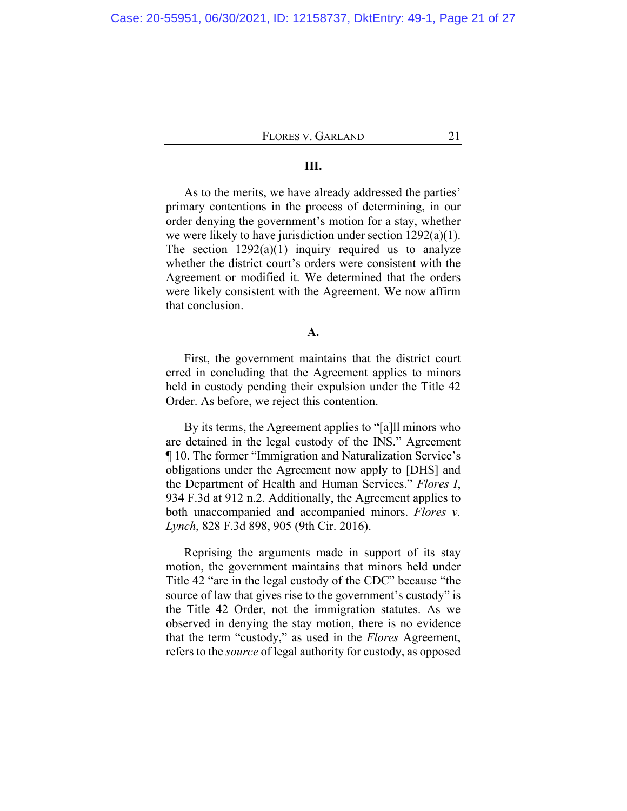#### **III.**

As to the merits, we have already addressed the parties' primary contentions in the process of determining, in our order denying the government's motion for a stay, whether we were likely to have jurisdiction under section 1292(a)(1). The section  $1292(a)(1)$  inquiry required us to analyze whether the district court's orders were consistent with the Agreement or modified it. We determined that the orders were likely consistent with the Agreement. We now affirm that conclusion.

### **A.**

First, the government maintains that the district court erred in concluding that the Agreement applies to minors held in custody pending their expulsion under the Title 42 Order. As before, we reject this contention.

By its terms, the Agreement applies to "[a]ll minors who are detained in the legal custody of the INS." Agreement ¶ 10. The former "Immigration and Naturalization Service's obligations under the Agreement now apply to [DHS] and the Department of Health and Human Services." *Flores I*, 934 F.3d at 912 n.2. Additionally, the Agreement applies to both unaccompanied and accompanied minors. *Flores v. Lynch*, 828 F.3d 898, 905 (9th Cir. 2016).

Reprising the arguments made in support of its stay motion, the government maintains that minors held under Title 42 "are in the legal custody of the CDC" because "the source of law that gives rise to the government's custody" is the Title 42 Order, not the immigration statutes. As we observed in denying the stay motion, there is no evidence that the term "custody," as used in the *Flores* Agreement, refers to the *source* of legal authority for custody, as opposed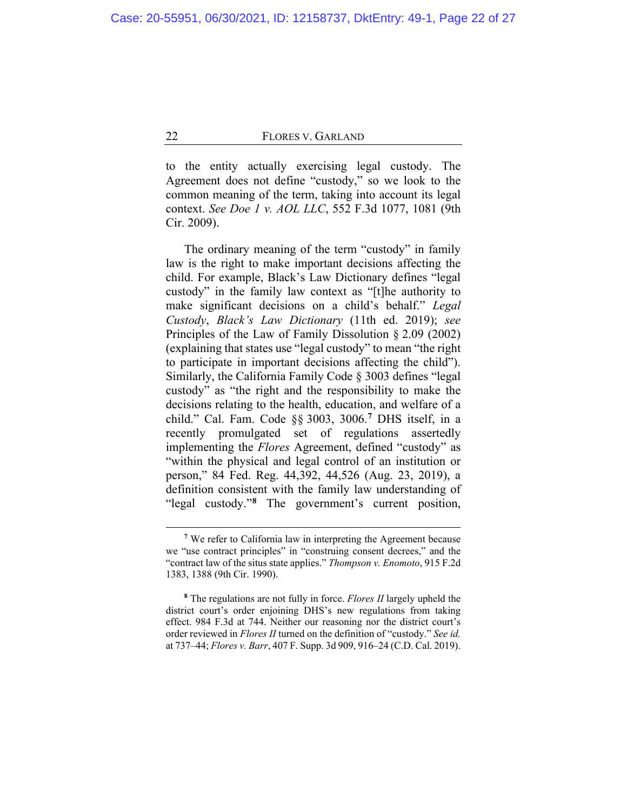to the entity actually exercising legal custody. The Agreement does not define "custody," so we look to the common meaning of the term, taking into account its legal context. *See Doe 1 v. AOL LLC*, 552 F.3d 1077, 1081 (9th Cir. 2009).

The ordinary meaning of the term "custody" in family law is the right to make important decisions affecting the child. For example, Black's Law Dictionary defines "legal custody" in the family law context as "[t]he authority to make significant decisions on a child's behalf." *Legal Custody*, *Black's Law Dictionary* (11th ed. 2019); *see*  Principles of the Law of Family Dissolution § 2.09 (2002) (explaining that states use "legal custody" to mean "the right to participate in important decisions affecting the child"). Similarly, the California Family Code § 3003 defines "legal custody" as "the right and the responsibility to make the decisions relating to the health, education, and welfare of a child." Cal. Fam. Code §§ 3003, 3006.**[7](#page-21-0)** DHS itself, in a recently promulgated set of regulations assertedly implementing the *Flores* Agreement, defined "custody" as "within the physical and legal control of an institution or person," 84 Fed. Reg. 44,392, 44,526 (Aug. 23, 2019), a definition consistent with the family law understanding of "legal custody."**[8](#page-21-1)** The government's current position,

**<sup>7</sup>** We refer to California law in interpreting the Agreement because we "use contract principles" in "construing consent decrees," and the "contract law of the situs state applies." *Thompson v. Enomoto*, 915 F.2d 1383, 1388 (9th Cir. 1990).

<span id="page-21-1"></span><span id="page-21-0"></span>**<sup>8</sup>** The regulations are not fully in force. *Flores II* largely upheld the district court's order enjoining DHS's new regulations from taking effect. 984 F.3d at 744. Neither our reasoning nor the district court's order reviewed in *Flores II* turned on the definition of "custody." *See id.* at 737–44; *Flores v. Barr*, 407 F. Supp. 3d 909, 916–24 (C.D. Cal. 2019).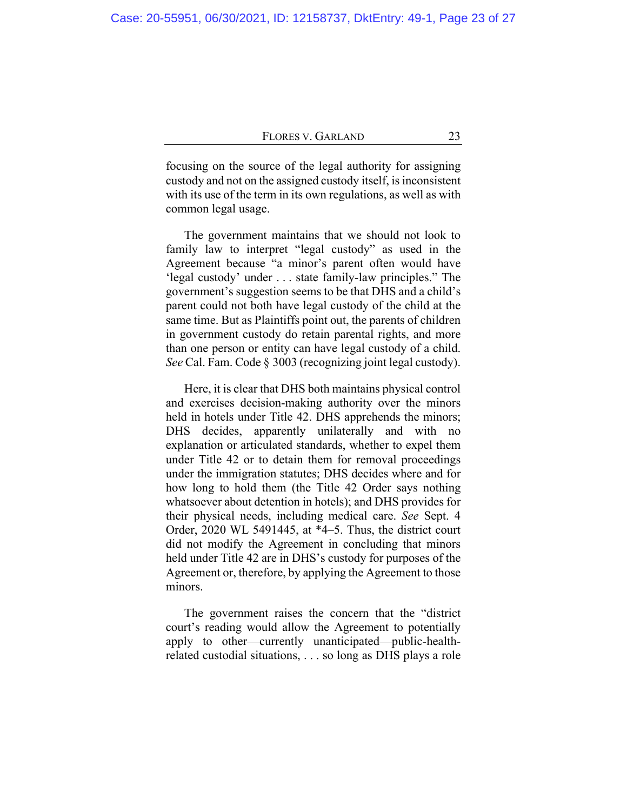focusing on the source of the legal authority for assigning custody and not on the assigned custody itself, is inconsistent with its use of the term in its own regulations, as well as with common legal usage.

The government maintains that we should not look to family law to interpret "legal custody" as used in the Agreement because "a minor's parent often would have 'legal custody' under . . . state family-law principles." The government's suggestion seems to be that DHS and a child's parent could not both have legal custody of the child at the same time. But as Plaintiffs point out, the parents of children in government custody do retain parental rights, and more than one person or entity can have legal custody of a child. *See* Cal. Fam. Code § 3003 (recognizing joint legal custody).

Here, it is clear that DHS both maintains physical control and exercises decision-making authority over the minors held in hotels under Title 42. DHS apprehends the minors; DHS decides, apparently unilaterally and with no explanation or articulated standards, whether to expel them under Title 42 or to detain them for removal proceedings under the immigration statutes; DHS decides where and for how long to hold them (the Title 42 Order says nothing whatsoever about detention in hotels); and DHS provides for their physical needs, including medical care. *See* Sept. 4 Order, 2020 WL 5491445, at \*4–5. Thus, the district court did not modify the Agreement in concluding that minors held under Title 42 are in DHS's custody for purposes of the Agreement or, therefore, by applying the Agreement to those minors.

The government raises the concern that the "district court's reading would allow the Agreement to potentially apply to other—currently unanticipated—public-healthrelated custodial situations, . . . so long as DHS plays a role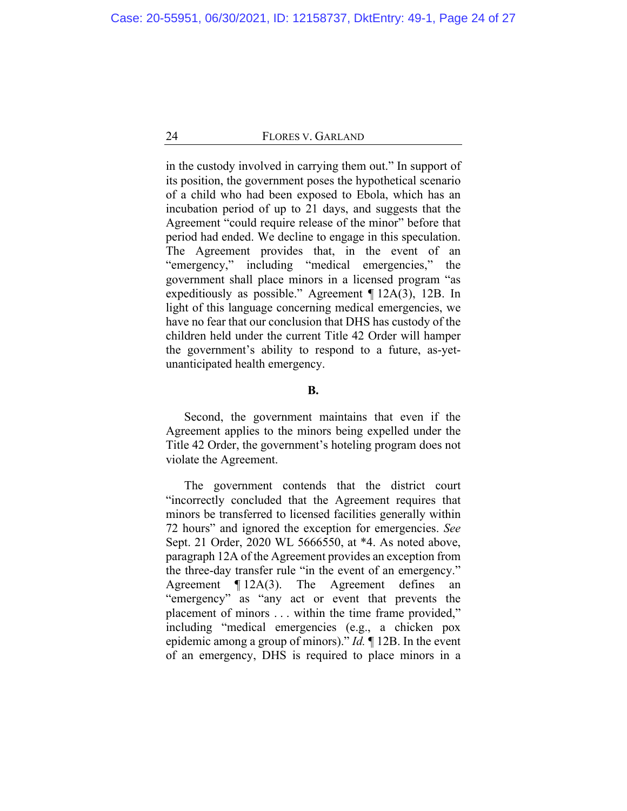in the custody involved in carrying them out." In support of its position, the government poses the hypothetical scenario of a child who had been exposed to Ebola, which has an incubation period of up to 21 days, and suggests that the Agreement "could require release of the minor" before that period had ended. We decline to engage in this speculation. The Agreement provides that, in the event of an "emergency," including "medical emergencies," the government shall place minors in a licensed program "as expeditiously as possible." Agreement ¶ 12A(3), 12B. In light of this language concerning medical emergencies, we have no fear that our conclusion that DHS has custody of the children held under the current Title 42 Order will hamper the government's ability to respond to a future, as-yetunanticipated health emergency.

## **B.**

Second, the government maintains that even if the Agreement applies to the minors being expelled under the Title 42 Order, the government's hoteling program does not violate the Agreement.

The government contends that the district court "incorrectly concluded that the Agreement requires that minors be transferred to licensed facilities generally within 72 hours" and ignored the exception for emergencies. *See* Sept. 21 Order, 2020 WL 5666550, at \*4. As noted above, paragraph 12A of the Agreement provides an exception from the three-day transfer rule "in the event of an emergency." Agreement ¶ 12A(3). The Agreement defines an "emergency" as "any act or event that prevents the placement of minors . . . within the time frame provided," including "medical emergencies (e.g., a chicken pox epidemic among a group of minors)." *Id.* ¶ 12B. In the event of an emergency, DHS is required to place minors in a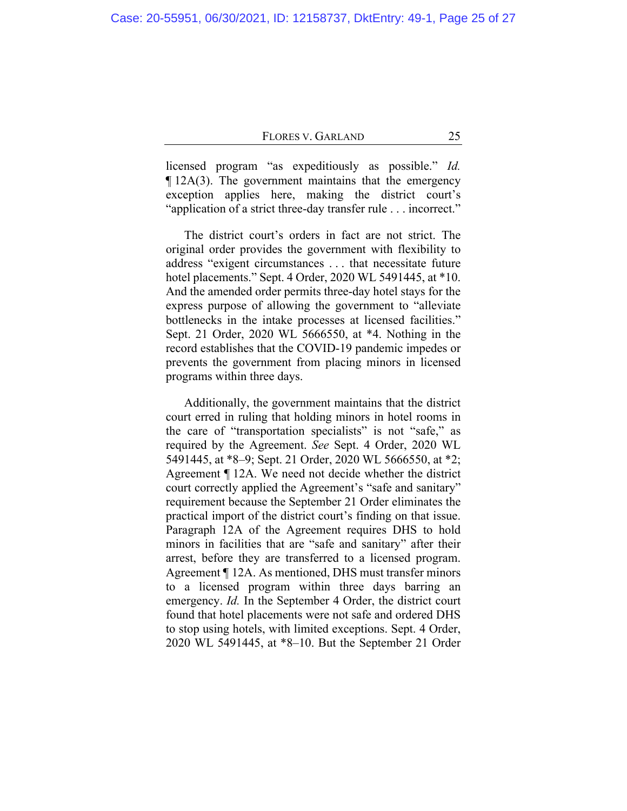licensed program "as expeditiously as possible." *Id.*  $\P$  12A(3). The government maintains that the emergency exception applies here, making the district court's "application of a strict three-day transfer rule . . . incorrect."

The district court's orders in fact are not strict. The original order provides the government with flexibility to address "exigent circumstances . . . that necessitate future hotel placements." Sept. 4 Order, 2020 WL 5491445, at \*10. And the amended order permits three-day hotel stays for the express purpose of allowing the government to "alleviate bottlenecks in the intake processes at licensed facilities." Sept. 21 Order, 2020 WL 5666550, at \*4. Nothing in the record establishes that the COVID-19 pandemic impedes or prevents the government from placing minors in licensed programs within three days.

Additionally, the government maintains that the district court erred in ruling that holding minors in hotel rooms in the care of "transportation specialists" is not "safe," as required by the Agreement. *See* Sept. 4 Order, 2020 WL 5491445, at \*8–9; Sept. 21 Order, 2020 WL 5666550, at \*2; Agreement ¶ 12A. We need not decide whether the district court correctly applied the Agreement's "safe and sanitary" requirement because the September 21 Order eliminates the practical import of the district court's finding on that issue. Paragraph 12A of the Agreement requires DHS to hold minors in facilities that are "safe and sanitary" after their arrest, before they are transferred to a licensed program. Agreement ¶ 12A. As mentioned, DHS must transfer minors to a licensed program within three days barring an emergency. *Id.* In the September 4 Order, the district court found that hotel placements were not safe and ordered DHS to stop using hotels, with limited exceptions. Sept. 4 Order, 2020 WL 5491445, at \*8–10. But the September 21 Order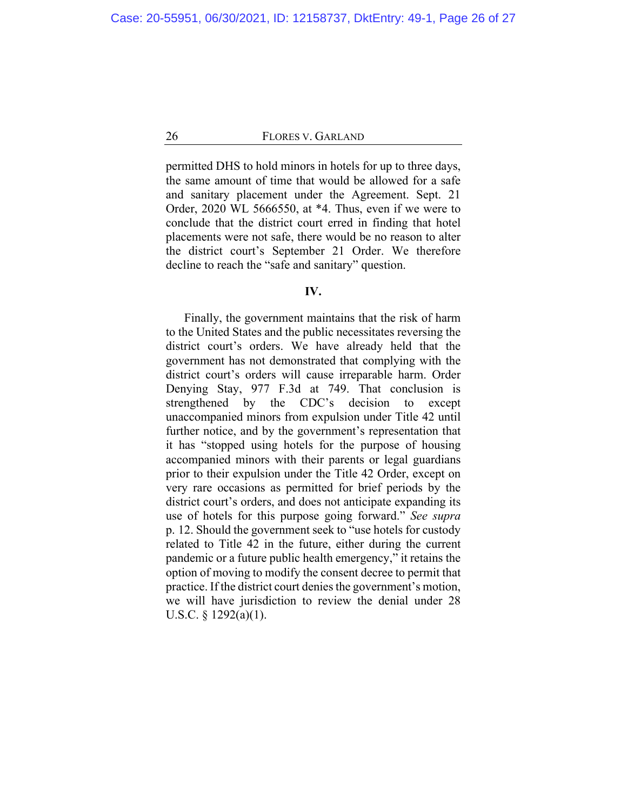permitted DHS to hold minors in hotels for up to three days, the same amount of time that would be allowed for a safe and sanitary placement under the Agreement. Sept. 21 Order, 2020 WL 5666550, at \*4. Thus, even if we were to conclude that the district court erred in finding that hotel placements were not safe, there would be no reason to alter the district court's September 21 Order. We therefore decline to reach the "safe and sanitary" question.

### **IV.**

Finally, the government maintains that the risk of harm to the United States and the public necessitates reversing the district court's orders. We have already held that the government has not demonstrated that complying with the district court's orders will cause irreparable harm. Order Denying Stay, 977 F.3d at 749. That conclusion is strengthened by the CDC's decision to except unaccompanied minors from expulsion under Title 42 until further notice, and by the government's representation that it has "stopped using hotels for the purpose of housing accompanied minors with their parents or legal guardians prior to their expulsion under the Title 42 Order, except on very rare occasions as permitted for brief periods by the district court's orders, and does not anticipate expanding its use of hotels for this purpose going forward." *See supra* p. [12.](#page-11-0) Should the government seek to "use hotels for custody related to Title 42 in the future, either during the current pandemic or a future public health emergency," it retains the option of moving to modify the consent decree to permit that practice. If the district court denies the government's motion, we will have jurisdiction to review the denial under 28 U.S.C. § 1292(a)(1).